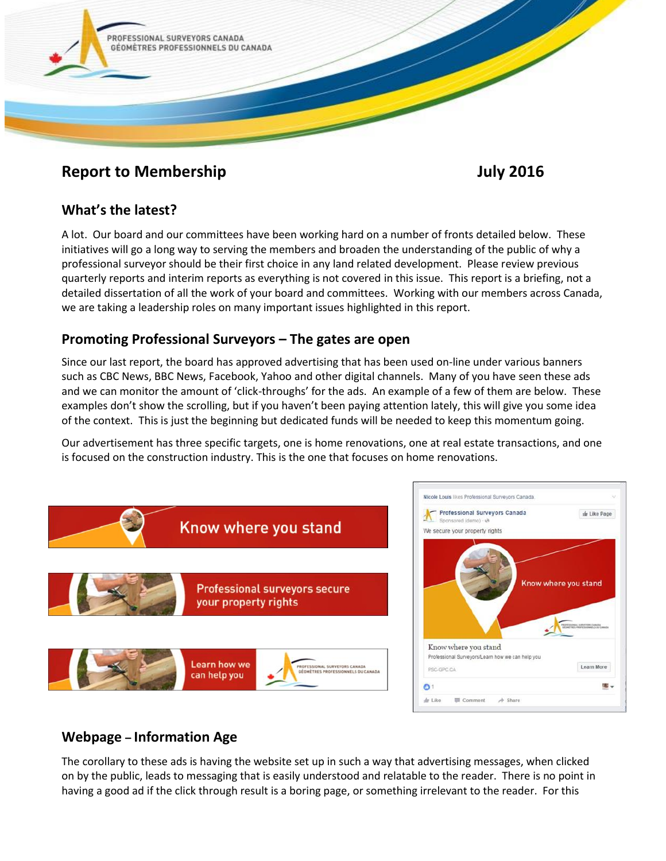

# **Report to Membership 3016** July 2016

### **What's the latest?**

A lot. Our board and our committees have been working hard on a number of fronts detailed below. These initiatives will go a long way to serving the members and broaden the understanding of the public of why a professional surveyor should be their first choice in any land related development. Please review previous quarterly reports and interim reports as everything is not covered in this issue. This report is a briefing, not a detailed dissertation of all the work of your board and committees. Working with our members across Canada, we are taking a leadership roles on many important issues highlighted in this report.

#### **Promoting Professional Surveyors – The gates are open**

Since our last report, the board has approved advertising that has been used on-line under various banners such as CBC News, BBC News, Facebook, Yahoo and other digital channels. Many of you have seen these ads and we can monitor the amount of 'click-throughs' for the ads. An example of a few of them are below. These examples don't show the scrolling, but if you haven't been paying attention lately, this will give you some idea of the context. This is just the beginning but dedicated funds will be needed to keep this momentum going.

Our advertisement has three specific targets, one is home renovations, one at real estate transactions, and one is focused on the construction industry. This is the one that focuses on home renovations.





# **Webpage – Information Age**

The corollary to these ads is having the website set up in such a way that advertising messages, when clicked on by the public, leads to messaging that is easily understood and relatable to the reader. There is no point in having a good ad if the click through result is a boring page, or something irrelevant to the reader. For this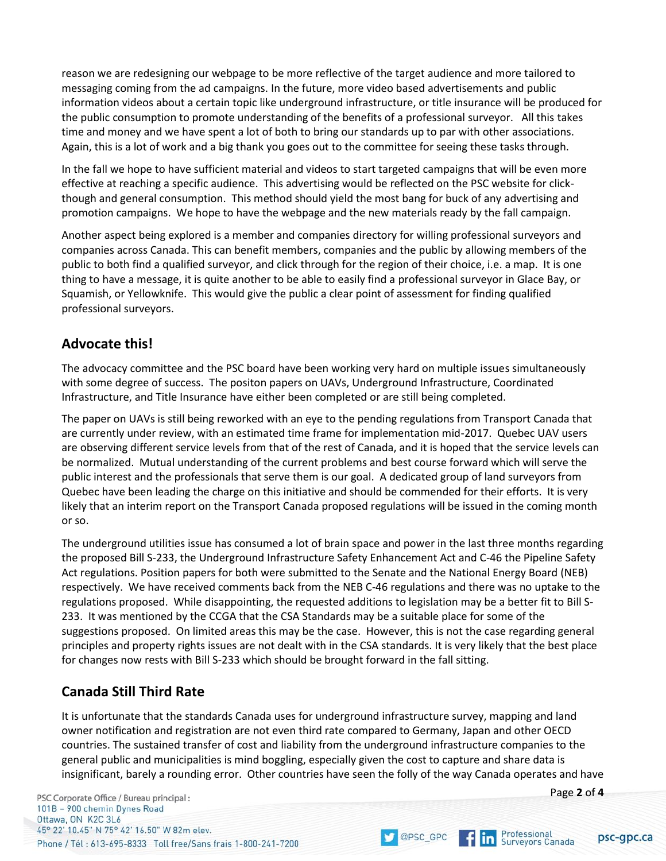reason we are redesigning our webpage to be more reflective of the target audience and more tailored to messaging coming from the ad campaigns. In the future, more video based advertisements and public information videos about a certain topic like underground infrastructure, or title insurance will be produced for the public consumption to promote understanding of the benefits of a professional surveyor. All this takes time and money and we have spent a lot of both to bring our standards up to par with other associations. Again, this is a lot of work and a big thank you goes out to the committee for seeing these tasks through.

In the fall we hope to have sufficient material and videos to start targeted campaigns that will be even more effective at reaching a specific audience. This advertising would be reflected on the PSC website for clickthough and general consumption. This method should yield the most bang for buck of any advertising and promotion campaigns. We hope to have the webpage and the new materials ready by the fall campaign.

Another aspect being explored is a member and companies directory for willing professional surveyors and companies across Canada. This can benefit members, companies and the public by allowing members of the public to both find a qualified surveyor, and click through for the region of their choice, i.e. a map. It is one thing to have a message, it is quite another to be able to easily find a professional surveyor in Glace Bay, or Squamish, or Yellowknife. This would give the public a clear point of assessment for finding qualified professional surveyors.

#### **Advocate this!**

The advocacy committee and the PSC board have been working very hard on multiple issues simultaneously with some degree of success. The positon papers on UAVs, Underground Infrastructure, Coordinated Infrastructure, and Title Insurance have either been completed or are still being completed.

The paper on UAVs is still being reworked with an eye to the pending regulations from Transport Canada that are currently under review, with an estimated time frame for implementation mid-2017. Quebec UAV users are observing different service levels from that of the rest of Canada, and it is hoped that the service levels can be normalized. Mutual understanding of the current problems and best course forward which will serve the public interest and the professionals that serve them is our goal. A dedicated group of land surveyors from Quebec have been leading the charge on this initiative and should be commended for their efforts. It is very likely that an interim report on the Transport Canada proposed regulations will be issued in the coming month or so.

The underground utilities issue has consumed a lot of brain space and power in the last three months regarding the proposed Bill S-233, the Underground Infrastructure Safety Enhancement Act and C-46 the Pipeline Safety Act regulations. Position papers for both were submitted to the Senate and the National Energy Board (NEB) respectively. We have received comments back from the NEB C-46 regulations and there was no uptake to the regulations proposed. While disappointing, the requested additions to legislation may be a better fit to Bill S-233. It was mentioned by the CCGA that the CSA Standards may be a suitable place for some of the suggestions proposed. On limited areas this may be the case. However, this is not the case regarding general principles and property rights issues are not dealt with in the CSA standards. It is very likely that the best place for changes now rests with Bill S-233 which should be brought forward in the fall sitting.

# **Canada Still Third Rate**

It is unfortunate that the standards Canada uses for underground infrastructure survey, mapping and land owner notification and registration are not even third rate compared to Germany, Japan and other OECD countries. The sustained transfer of cost and liability from the underground infrastructure companies to the general public and municipalities is mind boggling, especially given the cost to capture and share data is insignificant, barely a rounding error. Other countries have seen the folly of the way Canada operates and have

PSC Corporate Office / Bureau principal : 101B - 900 chemin Dynes Road Ottawa, ON K2C 3L6 45° 22' 10.45" N 75° 42' 16.50" W 82m elev. Phone / Tél: 613-695-8333 Toll free/Sans frais 1-800-241-7200





Professional<br>Surveyors Canada

 $f\ln$ 

psc-gpc.ca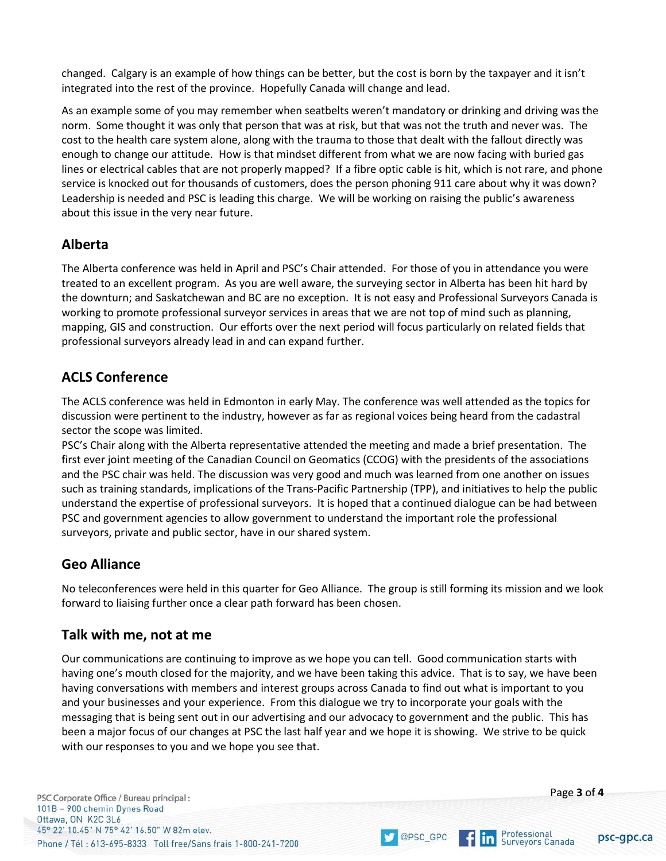changed. Calgary is an example of how things can be better, but the cost is born by the taxpayer and it isn't integrated into the rest of the province. Hopefully Canada will change and lead.

As an example some of you may remember when seatbelts weren't mandatory or drinking and driving was the norm. Some thought it was only that person that was at risk, but that was not the truth and never was. The cost to the health care system alone, along with the trauma to those that dealt with the fallout directly was enough to change our attitude. How is that mindset different from what we are now facing with buried gas lines or electrical cables that are not properly mapped? If a fibre optic cable is hit, which is not rare, and phone service is knocked out for thousands of customers, does the person phoning 911 care about why it was down? Leadership is needed and PSC is leading this charge. We will be working on raising the public's awareness about this issue in the very near future.

#### **Alberta**

The Alberta conference was held in April and PSC's Chair attended. For those of you in attendance you were treated to an excellent program. As you are well aware, the surveying sector in Alberta has been hit hard by the downturn; and Saskatchewan and BC are no exception. It is not easy and Professional Surveyors Canada is working to promote professional surveyor services in areas that we are not top of mind such as planning, mapping, GIS and construction. Our efforts over the next period will focus particularly on related fields that professional surveyors already lead in and can expand further.

# **ACLS Conference**

The ACLS conference was held in Edmonton in early May. The conference was well attended as the topics for discussion were pertinent to the industry, however as far as regional voices being heard from the cadastral sector the scope was limited.

PSC's Chair along with the Alberta representative attended the meeting and made a brief presentation. The first ever joint meeting of the Canadian Council on Geomatics (CCOG) with the presidents of the associations and the PSC chair was held. The discussion was very good and much was learned from one another on issues such as training standards, implications of the Trans-Pacific Partnership (TPP), and initiatives to help the public understand the expertise of professional surveyors. It is hoped that a continued dialogue can be had between PSC and government agencies to allow government to understand the important role the professional surveyors, private and public sector, have in our shared system.

# **Geo Alliance**

No teleconferences were held in this quarter for Geo Alliance. The group is still forming its mission and we look forward to liaising further once a clear path forward has been chosen.

#### **Talk with me, not at me**

Our communications are continuing to improve as we hope you can tell. Good communication starts with having one's mouth closed for the majority, and we have been taking this advice. That is to say, we have been having conversations with members and interest groups across Canada to find out what is important to you and your businesses and your experience. From this dialogue we try to incorporate your goals with the messaging that is being sent out in our advertising and our advocacy to government and the public. This has been a major focus of our changes at PSC the last half year and we hope it is showing. We strive to be quick with our responses to you and we hope you see that.



Professional<br>Surveyors Canada

@PSC\_GPC

 $f$  in